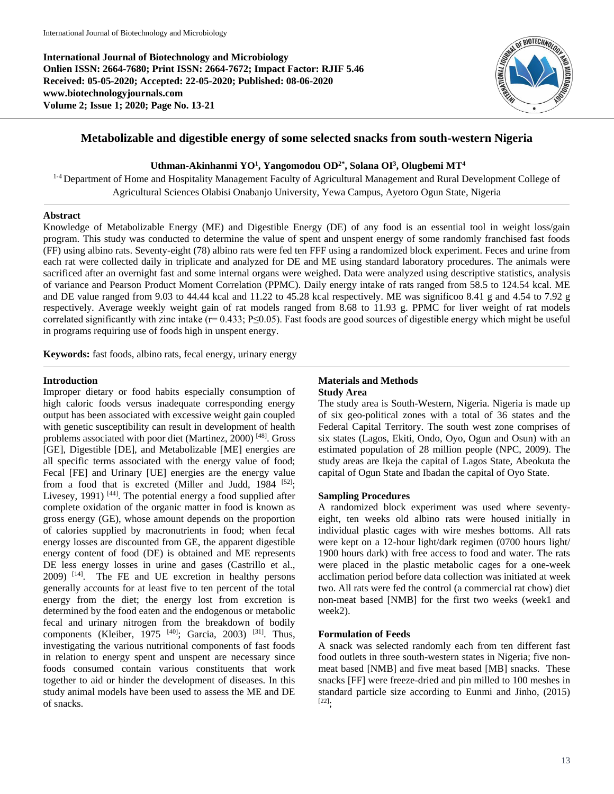**International Journal of Biotechnology and Microbiology Onlien ISSN: 2664-7680; Print ISSN: 2664-7672; Impact Factor: RJIF 5.46 Received: 05-05-2020; Accepted: 22-05-2020; Published: 08-06-2020 www.biotechnologyjournals.com Volume 2; Issue 1; 2020; Page No. 13-21**



# **Metabolizable and digestible energy of some selected snacks from south-western Nigeria**

## **Uthman-Akinhanmi YO<sup>1</sup> , Yangomodou OD2\* , Solana OI<sup>3</sup> , Olugbemi MT<sup>4</sup>**

<sup>1-4</sup> Department of Home and Hospitality Management Faculty of Agricultural Management and Rural Development College of Agricultural Sciences Olabisi Onabanjo University, Yewa Campus, Ayetoro Ogun State, Nigeria

#### **Abstract**

Knowledge of Metabolizable Energy (ME) and Digestible Energy (DE) of any food is an essential tool in weight loss/gain program. This study was conducted to determine the value of spent and unspent energy of some randomly franchised fast foods (FF) using albino rats. Seventy-eight (78) albino rats were fed ten FFF using a randomized block experiment. Feces and urine from each rat were collected daily in triplicate and analyzed for DE and ME using standard laboratory procedures. The animals were sacrificed after an overnight fast and some internal organs were weighed. Data were analyzed using descriptive statistics, analysis of variance and Pearson Product Moment Correlation (PPMC). Daily energy intake of rats ranged from 58.5 to 124.54 kcal. ME and DE value ranged from 9.03 to 44.44 kcal and 11.22 to 45.28 kcal respectively. ME was significoo 8.41 g and 4.54 to 7.92 g respectively. Average weekly weight gain of rat models ranged from 8.68 to 11.93 g. PPMC for liver weight of rat models correlated significantly with zinc intake (r= 0.433; P≤0.05). Fast foods are good sources of digestible energy which might be useful in programs requiring use of foods high in unspent energy.

**Keywords:** fast foods, albino rats, fecal energy, urinary energy

### **Introduction**

Improper dietary or food habits especially consumption of high caloric foods versus inadequate corresponding energy output has been associated with excessive weight gain coupled with genetic susceptibility can result in development of health problems associated with poor diet (Martinez, 2000)<sup>[48]</sup>. Gross [GE], Digestible [DE], and Metabolizable [ME] energies are all specific terms associated with the energy value of food; Fecal [FE] and Urinary [UE] energies are the energy value from a food that is excreted (Miller and Judd, 1984 <sup>[52]</sup>; Livesey, 1991)<sup>[44]</sup>. The potential energy a food supplied after complete oxidation of the organic matter in food is known as gross energy (GE), whose amount depends on the proportion of calories supplied by macronutrients in food; when fecal energy losses are discounted from GE, the apparent digestible energy content of food (DE) is obtained and ME represents DE less energy losses in urine and gases (Castrillo et al., 2009) [14] . The FE and UE excretion in healthy persons generally accounts for at least five to ten percent of the total energy from the diet; the energy lost from excretion is determined by the food eaten and the endogenous or metabolic fecal and urinary nitrogen from the breakdown of bodily components (Kleiber, 1975  $[40]$ ; Garcia, 2003) <sup>[31]</sup>. Thus, investigating the various nutritional components of fast foods in relation to energy spent and unspent are necessary since foods consumed contain various constituents that work together to aid or hinder the development of diseases. In this study animal models have been used to assess the ME and DE of snacks.

## **Materials and Methods Study Area**

The study area is South-Western, Nigeria. Nigeria is made up of six geo-political zones with a total of 36 states and the Federal Capital Territory. The south west zone comprises of six states (Lagos, Ekiti, Ondo, Oyo, Ogun and Osun) with an estimated population of 28 million people (NPC, 2009). The study areas are Ikeja the capital of Lagos State, Abeokuta the capital of Ogun State and Ibadan the capital of Oyo State.

## **Sampling Procedures**

A randomized block experiment was used where seventyeight, ten weeks old albino rats were housed initially in individual plastic cages with wire meshes bottoms. All rats were kept on a 12-hour light/dark regimen (0700 hours light/ 1900 hours dark) with free access to food and water. The rats were placed in the plastic metabolic cages for a one-week acclimation period before data collection was initiated at week two. All rats were fed the control (a commercial rat chow) diet non-meat based [NMB] for the first two weeks (week1 and week2).

#### **Formulation of Feeds**

A snack was selected randomly each from ten different fast food outlets in three south-western states in Nigeria; five nonmeat based [NMB] and five meat based [MB] snacks. These snacks [FF] were freeze-dried and pin milled to 100 meshes in standard particle size according to Eunmi and Jinho, (2015) [22] ;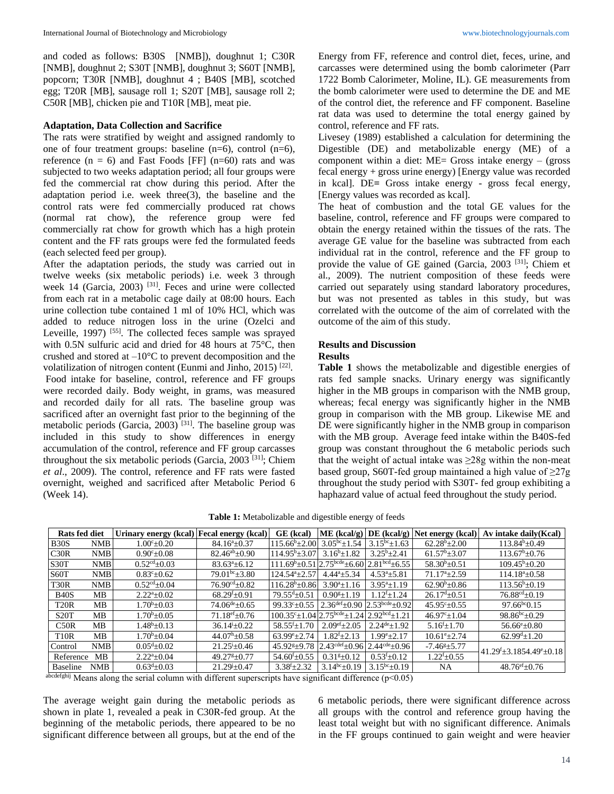and coded as follows: B30S [NMB]), doughnut 1; C30R [NMB], doughnut 2; S30T [NMB], doughnut 3; S60T [NMB], popcorn; T30R [NMB], doughnut 4 ; B40S [MB], scotched egg; T20R [MB], sausage roll 1; S20T [MB], sausage roll 2; C50R [MB], chicken pie and T10R [MB], meat pie.

### **Adaptation, Data Collection and Sacrifice**

The rats were stratified by weight and assigned randomly to one of four treatment groups: baseline (n=6), control (n=6), reference  $(n = 6)$  and Fast Foods [FF]  $(n=60)$  rats and was subjected to two weeks adaptation period; all four groups were fed the commercial rat chow during this period. After the adaptation period i.e. week three(3), the baseline and the control rats were fed commercially produced rat chows (normal rat chow), the reference group were fed commercially rat chow for growth which has a high protein content and the FF rats groups were fed the formulated feeds (each selected feed per group).

After the adaptation periods, the study was carried out in twelve weeks (six metabolic periods) i.e. week 3 through week 14 (Garcia, 2003)<sup>[31]</sup>. Feces and urine were collected from each rat in a metabolic cage daily at 08:00 hours. Each urine collection tube contained 1 ml of 10% HCl, which was added to reduce nitrogen loss in the urine (Ozelci and Leveille, 1997)<sup>[55]</sup>. The collected feces sample was sprayed with 0.5N sulfuric acid and dried for 48 hours at 75°C, then crushed and stored at  $-10^{\circ}$ C to prevent decomposition and the volatilization of nitrogen content (Eunmi and Jinho, 2015)<sup>[22]</sup>. Food intake for baseline, control, reference and FF groups were recorded daily. Body weight, in grams, was measured and recorded daily for all rats. The baseline group was sacrificed after an overnight fast prior to the beginning of the metabolic periods (Garcia, 2003)<sup>[31]</sup>. The baseline group was included in this study to show differences in energy accumulation of the control, reference and FF group carcasses throughout the six metabolic periods (Garcia, 2003<sup>[31]</sup>; Chiem *et al*., 2009). The control, reference and FF rats were fasted overnight, weighed and sacrificed after Metabolic Period 6 (Week 14).

Energy from FF, reference and control diet, feces, urine, and carcasses were determined using the bomb calorimeter (Parr 1722 Bomb Calorimeter, Moline, IL). GE measurements from the bomb calorimeter were used to determine the DE and ME of the control diet, the reference and FF component. Baseline rat data was used to determine the total energy gained by control, reference and FF rats.

Livesey (1989) established a calculation for determining the Digestible (DE) and metabolizable energy (ME) of a component within a diet: ME= Gross intake energy – (gross fecal energy + gross urine energy) [Energy value was recorded in kcal]. DE**=** Gross intake energy - gross fecal energy, [Energy values was recorded as kcal].

The heat of combustion and the total GE values for the baseline, control, reference and FF groups were compared to obtain the energy retained within the tissues of the rats. The average GE value for the baseline was subtracted from each individual rat in the control, reference and the FF group to provide the value of GE gained (Garcia, 2003<sup>[31]</sup>; Chiem et al., 2009). The nutrient composition of these feeds were carried out separately using standard laboratory procedures, but was not presented as tables in this study, but was correlated with the outcome of the aim of correlated with the outcome of the aim of this study.

#### **Results and Discussion Results**

**Table 1** shows the metabolizable and digestible energies of rats fed sample snacks. Urinary energy was significantly higher in the MB groups in comparison with the NMB group, whereas; fecal energy was significantly higher in the NMB group in comparison with the MB group. Likewise ME and DE were significantly higher in the NMB group in comparison with the MB group. Average feed intake within the B40S-fed group was constant throughout the 6 metabolic periods such that the weight of actual intake was  $\geq 28g$  within the non-meat based group, S60T-fed group maintained a high value of  $\geq$ 27g throughout the study period with S30T- fed group exhibiting a haphazard value of actual feed throughout the study period.

**Table 1:** Metabolizable and digestible energy of feeds

| <b>Rats fed diet</b> |            | Urinary energy (kcal) Fecal energy (kcal) |                               | GE (kcal)                                                                        |                            |                                                 |                             | ME (kcal/g) $DE$ (kcal/g) Net energy (kcal) Av intake daily (Kcal) |
|----------------------|------------|-------------------------------------------|-------------------------------|----------------------------------------------------------------------------------|----------------------------|-------------------------------------------------|-----------------------------|--------------------------------------------------------------------|
| <b>B30S</b>          | <b>NMB</b> | $1.00^{\circ}+0.20$                       | $84.16^a \pm 0.37$            | $115.66^{\circ}$ ± 2.00                                                          | $3.05^{bc}+1.54$           | $3.15^{bc}+1.63$                                | $62.28^b + 2.00$            | $113.84^b \pm 0.49$                                                |
| C30R                 | <b>NMB</b> | $0.90^{\circ}$ ± 0.08                     | $82.46^{ab} \pm 0.90$         | $114.95^{\rm b} + 3.07$                                                          | $3.16^{b} + 1.82$          | $3.25^{\rm b} + 2.41$                           | $61.57^b \pm 3.07$          | $113.67^{\rm b} \pm 0.76$                                          |
| S <sub>30</sub> T    | <b>NMB</b> | $0.52cd+0.03$                             | $83.63^{a} + 6.12$            | $111.69^{\rm b} \pm 0.512.75^{\rm bede} \pm 6.6022.81^{\rm bcd} \pm 6.55$        |                            |                                                 | $58.30^{b} + 0.51$          | $109.45^{\rm b} + 0.20$                                            |
| S60T                 | <b>NMB</b> | $0.83^{\circ}$ ±0.62                      | $79.01^{bc} \pm 3.80$         | $124.54^{a}+2.57$                                                                | $4.44^a \pm 5.34$          | $4.53^a \pm 5.81$                               | $71.17^{\mathrm{a}}\pm2.59$ | $114.18^{\circ}$ ±0.58                                             |
| <b>T30R</b>          | <b>NMB</b> | $0.52cd+0.04$                             | $76.90^{\text{cd}} + 0.82$    | $116.28^b + 0.86$                                                                | $3.90^{a}+1.16$            | $3.95^{a}+1.19$                                 | $62.90^{\rm b} + 0.86$      | $113.56^{\mathrm{b}}+0.19$                                         |
| <b>B40S</b>          | MВ         | $2.22^a \pm 0.02$                         | $68.29^{f}+0.91$              | $79.55^{\text{d}} \pm 0.51$                                                      | $0.90^{g}+1.19$            | $1.12^{f}+1.24$                                 | $26.17^{d} \pm 0.51$        | $76.88^{\text{cd}} \pm 0.19$                                       |
| T <sub>20</sub> R    | MB         | $1.70^b \pm 0.03$                         | $74.06^{\text{de}} \pm 0.65$  | $99.33^{\circ} \pm 0.55$                                                         |                            | $2.36^{\text{def}}\pm 0.90$ 2.53bcde $\pm 0.92$ | $45.95^{\circ} \pm 0.55$    | $97.66^{bc}0.15$                                                   |
| S20T                 | MВ         | $1.70^b + 0.05$                           | $71.18$ <sup>ef</sup> $+0.76$ | $100.35^{\circ} \pm 1.0412.75^{\text{bcde}} \pm 1.2412.92^{\text{bcd}} \pm 1.21$ |                            |                                                 | $46.97^{\circ} \pm 1.04$    | $98.86^{bc}+0.29$                                                  |
| C50R                 | MB.        | $1.48^{\rm b} + 0.13$                     | $36.14^{i} \pm 0.22$          | $58.55^{f}+1.70$                                                                 | $2.09^{\text{ef}}\pm 2.05$ | $2.24$ <sup>de</sup> +1.92                      | $5.16^{\rm f} \pm 1.70$     | $56.66^{\circ}$ ± 0.80                                             |
| <b>T10R</b>          | <b>MB</b>  | $1.70^{\rm b} + 0.04$                     | $44.07^{\rm h} + 0.58$        | $63.99^{\circ}+2.74$                                                             | $1.82^{f}+2.13$            | $1.99^{\rm e}{+2.17}$                           | $10.61^{\circ}+2.74$        | $62.99^{d} \pm 1.20$                                               |
| Control              | <b>NMB</b> | $0.05^{\text{d}} + 0.02$                  | $21.25^{\mathrm{i}} \pm 0.46$ | $45.92$ <sup>s</sup> $\pm$ 9.78                                                  |                            | $2.43cdef+0.96$ 2.44 <sup>cde</sup> +0.96       | $-7.46^{\circ}$ $\pm 5.77$  | $41.29^{\mathrm{f}}\pm3.1854.49^{\mathrm{e}}\pm0.18$               |
| Reference            | MB         | $2.22^{\mathrm{a}}\pm0.04$                | $49.27^{8}+0.77$              | $54.60^{\circ}$ ±0.55                                                            | $0.31g + 0.12$             | $0.53^{f}+0.12$                                 | $1.22^{f} \pm 0.55$         |                                                                    |
| Baseline             | <b>NMB</b> | $0.63^{\rm d}$ ± 0.03                     | $21.29 + 0.47$                | $3.38f_{\pm}2.32$                                                                | $3.14^{bc} \pm 0.19$       | $3.15^{bc}+0.19$                                | NA                          | $48.76^{\rm ef} \pm 0.76$                                          |

abcdefghij Means along the serial column with different superscripts have significant difference  $(p<0.05)$ 

The average weight gain during the metabolic periods as shown in plate 1, revealed a peak in C30R-fed group. At the beginning of the metabolic periods, there appeared to be no significant difference between all groups, but at the end of the

6 metabolic periods, there were significant difference across all groups with the control and reference group having the least total weight but with no significant difference. Animals in the FF groups continued to gain weight and were heavier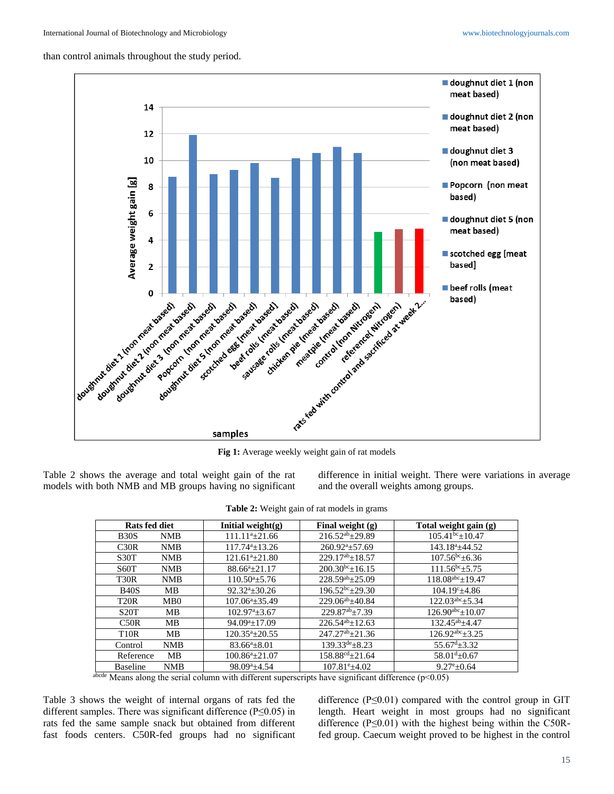than control animals throughout the study period.



**Fig 1:** Average weekly weight gain of rat models

Table 2 shows the average and total weight gain of the rat models with both NMB and MB groups having no significant difference in initial weight. There were variations in average and the overall weights among groups.

| <b>Table 2:</b> Weight gain of rat models in grams |                                |                                 |                               |  |  |  |  |  |  |
|----------------------------------------------------|--------------------------------|---------------------------------|-------------------------------|--|--|--|--|--|--|
| Rats fed diet                                      | Initial weight(g)              | Final weight $(g)$              | Total weight gain (g)         |  |  |  |  |  |  |
| <b>B30S</b><br>NMB                                 | $111.11^a \pm 21.66$           | $216.52^{ab} \pm 29.89$         | $105.41^{bc} \pm 10.47$       |  |  |  |  |  |  |
| C30R<br><b>NMB</b>                                 | $117.74^a \pm 13.26$           | $260.92^{\mathrm{a}} \pm 57.69$ | $143.18^a \pm 44.52$          |  |  |  |  |  |  |
| S <sub>30</sub> T<br><b>NMB</b>                    | $121.61^a \pm 21.80$           | $229.17^{ab} + 18.57$           | $107.56^{bc}$ ± 6.36          |  |  |  |  |  |  |
| S <sub>60</sub> T<br><b>NMB</b>                    | $88.66^a \pm 21.17$            | $200.30^{bc} + 16.15$           | $111.56^{bc} + 5.75$          |  |  |  |  |  |  |
| T <sub>30</sub> R<br><b>NMB</b>                    | $110.50^{\circ}$ ±5.76         | $228.59^{ab} \pm 25.09$         | $118.08^{abc}$ ± 19.47        |  |  |  |  |  |  |
| <b>B40S</b><br>MВ                                  | $92.32^{\mathrm{a}} \pm 30.26$ | $196.52^{bc} \pm 29.30$         | $104.19^{\circ}$ ±4.86        |  |  |  |  |  |  |
| T <sub>20</sub> R<br>MB0                           | $107.06^a \pm 35.49$           | $229.06^{ab} + 40.84$           | $122.03^{abc} + 5.34$         |  |  |  |  |  |  |
| S <sub>20</sub> T<br>MВ                            | $102.97^{\mathrm{a}}\pm3.67$   | $229.87^{ab} + 7.39$            | $126.90^{abc} \pm 10.07$      |  |  |  |  |  |  |
| C50R<br>MB                                         | $94.09^a \pm 17.09$            | $226.54^{ab}+12.63$             | $132.45^{ab} + 4.47$          |  |  |  |  |  |  |
| <b>T10R</b><br>MВ                                  | $120.35^{\mathrm{a}}\pm 20.55$ | $247.27^{ab} + 21.36$           | $126.92^{abc} + 3.25$         |  |  |  |  |  |  |
| <b>NMB</b><br>Control                              | $83.66^a \pm 8.01$             | $139.33^{\text{de}}\pm8.23$     | $55.67^{\text{d}}$ $\pm$ 3.32 |  |  |  |  |  |  |
| Reference<br><b>MB</b>                             | $100.86^a \pm 21.07$           | $158.88^{\text{cd}} \pm 21.64$  | $58.01^{d} \pm 0.67$          |  |  |  |  |  |  |
| <b>Baseline</b><br><b>NMB</b>                      | $98.09^a \pm 4.54$             | $107.81^{\circ}$ ±4.02          | $9.27^{\rm e}{\pm}0.64$       |  |  |  |  |  |  |

**Table 2:** Weight gain of rat models in grams

Means along the serial column with different superscripts have significant difference ( $p<0.05$ )

Table 3 shows the weight of internal organs of rats fed the different samples. There was significant difference ( $P \le 0.05$ ) in rats fed the same sample snack but obtained from different fast foods centers. C50R-fed groups had no significant

difference ( $P \le 0.01$ ) compared with the control group in GIT length. Heart weight in most groups had no significant difference ( $P \le 0.01$ ) with the highest being within the C50Rfed group. Caecum weight proved to be highest in the control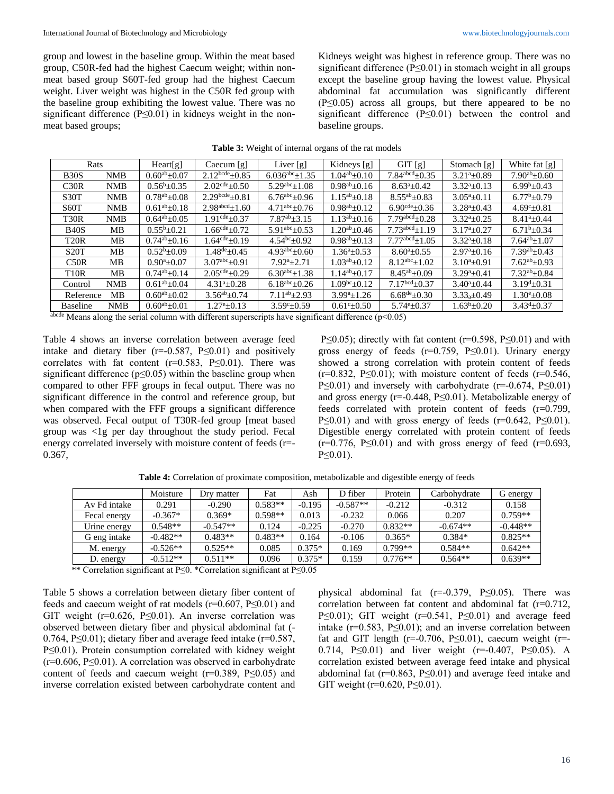group and lowest in the baseline group. Within the meat based group, C50R-fed had the highest Caecum weight; within nonmeat based group S60T-fed group had the highest Caecum weight. Liver weight was highest in the C50R fed group with the baseline group exhibiting the lowest value. There was no significant difference (P≤0.01) in kidneys weight in the nonmeat based groups;

Kidneys weight was highest in reference group. There was no significant difference ( $P \le 0.01$ ) in stomach weight in all groups except the baseline group having the lowest value. Physical abdominal fat accumulation was significantly different (P≤0.05) across all groups, but there appeared to be no significant difference (P≤0.01) between the control and baseline groups.

| <b>Table 3:</b> Weight of internal organs of the rat models |                                 |                                      |                                                                           |             |                                   |                    |                    |  |  |  |
|-------------------------------------------------------------|---------------------------------|--------------------------------------|---------------------------------------------------------------------------|-------------|-----------------------------------|--------------------|--------------------|--|--|--|
| Rats                                                        | Heart[g]                        | Caecum[g]                            | Liver $[g]$                                                               | Kidneys [g] | GIT[g]                            | Stomach [g]        | White fat [g]      |  |  |  |
| MAD                                                         | $\Omega$ cosh $\Omega$ $\Omega$ | $\cap$ 10 hcde $\cap$ 0 $\in$ $\Box$ | $\epsilon$ 02 $\epsilon$ abc $\epsilon$ 1 2 $\epsilon$ 1 0.4ab 0.10 $\pm$ |             | $\tau$ 0.4 abcd $\tau$ 0.7 $\tau$ | $2.213 \cdot 0.00$ | $7.09b \cdot 0.60$ |  |  |  |

| -----             |            | 110u1151              | $\text{Caccann}_{\text{[S]}}$ | $1.11$ $\mu$ $\mu$          | $1$ $\frac{1}{2}$ $\frac{1}{2}$ $\frac{1}{2}$ $\frac{1}{2}$ $\frac{1}{2}$ $\frac{1}{2}$ $\frac{1}{2}$ | 51151                       | $500114011 + 51$           | $11.111 \times 101$ $\left[ \frac{2}{2} \right]$ |
|-------------------|------------|-----------------------|-------------------------------|-----------------------------|-------------------------------------------------------------------------------------------------------|-----------------------------|----------------------------|--------------------------------------------------|
| <b>B30S</b>       | <b>NMB</b> | $0.60^{ab} \pm 0.07$  | $2.12^{bcde}+0.85$            | $6.036^{\text{abc}}\pm1.35$ | $1.04^{ab} \pm 0.10$                                                                                  | $7.84^{\text{abcd}} + 0.35$ | $3.21^{a}+0.89$            | $7.90^{ab}+0.60$                                 |
| C30R              | <b>NMB</b> | $0.56^{\rm b} + 0.35$ | $2.02cde+0.50$                | $5.29^{abc}+1.08$           | $0.98^{ab} \pm 0.16$                                                                                  | $8.63^{a}+0.42$             | $3.32^{a}+0.13$            | $6.99b+0.43$                                     |
| S <sub>30</sub> T | <b>NMB</b> | $0.78^{ab} + 0.08$    | $2.29^{bcde}+0.81$            | $6.76^{abc} + 0.96$         | $1.15^{ab} \pm 0.18$                                                                                  | $8.55^{ab} \pm 0.83$        | $3.05^{a}+0.11$            | $6.77^b \pm 0.79$                                |
| <b>S60T</b>       | <b>NMB</b> | $0.61^{ab} \pm 0.18$  | $2.98^{\text{abcd}}\pm 1.60$  | $4.71^{abc} + 0.76$         | $0.98^{ab} + 0.12$                                                                                    | $6.90cde+0.36$              | $3.28^a \pm 0.43$          | $4.69^{\circ}+0.81$                              |
| T <sub>30</sub> R | <b>NMB</b> | $0.64^{ab} + 0.05$    | $1.91cde+0.37$                | $7.87^{ab} + 3.15$          | $1.13^{ab}+0.16$                                                                                      | $7.79aabcd+0.28$            | $3.32^{a}+0.25$            | $8.41^{a}+0.44$                                  |
| <b>B40S</b>       | MВ         | $0.55^{b}+0.21$       | $1.66cde+0.72$                | $5.91abc+0.53$              | $1.20^{ab} + 0.46$                                                                                    | $7.73abcd+1.19$             | $3.17^{a}+0.27$            | $6.71b+0.34$                                     |
| T <sub>20</sub> R | MB.        | $0.74^{ab} + 0.16$    | 1.64 $\text{cde}_{\pm}0.19$   | $4.54^{bc}+0.92$            | $0.98^{ab} \pm 0.13$                                                                                  | $7.77^{\text{abcd}} + 1.05$ | $3.32^{a}+0.18$            | $7.64^{ab} + 1.07$                               |
| <b>S20T</b>       | MB.        | $0.52^b \pm 0.09$     | $1.48^{\text{de}}+0.45$       | $4.93^{abc}+0.60$           | $1.36^{\mathrm{a}} + 0.53$                                                                            | $8.60^{a}+0.55$             | $2.97^{\mathrm{a}} + 0.16$ | $7.39^{ab}+0.43$                                 |
| C <sub>50</sub> R | MВ         | $0.90^{a} + 0.07$     | $3.07^{abc} + 0.91$           | $7.92^{a}+2.71$             | $1.03^{ab} + 0.12$                                                                                    | $8.12^{abc}+1.02$           | $3.10^{a} + 0.91$          | $7.62^{ab}+0.93$                                 |
| T <sub>10</sub> R | MB.        | $0.74^{ab} \pm 0.14$  | $2.05cde+0.29$                | $6.30^{abc}+1.38$           | $1.14^{ab} \pm 0.17$                                                                                  | $8.45^{ab} + 0.09$          | $3.29^{a}+0.41$            | $7.32^{ab}+0.84$                                 |
| Control           | <b>NMB</b> | $0.61^{ab} + 0.04$    | $4.31^{a}+0.28$               | $6.18^{abc} + 0.26$         | $1.09bc \pm 0.12$                                                                                     | $7.17bcd+0.37$              | $3.40^{a}+0.44$            | $3.19^{d} + 0.31$                                |
| Reference         | MB.        | $0.60^{ab} + 0.02$    | $3.56^{ab} \pm 0.74$          | $7.11^{ab} + 2.93$          | $3.99^{a}+1.26$                                                                                       | $6.68^{de}+0.30$            | $3.33a \pm 0.49$           | $1.30^{\circ}+0.08$                              |
| <b>Baseline</b>   | <b>NMB</b> | $0.60^{ab} \pm 0.01$  | $1.27^{\rm e}{\pm}0.13$       | $3.59^{\circ}+0.59$         | $0.61^{\circ}$ ± 0.50                                                                                 | $5.74^{\circ}+0.37$         | $1.63^{\rm b} + 0.20$      | $3.43^{d}+0.37$                                  |

abcde Means along the serial column with different superscripts have significant difference ( $p < 0.05$ )

Table 4 shows an inverse correlation between average feed intake and dietary fiber ( $r = -0.587$ ,  $P \le 0.01$ ) and positively correlates with fat content ( $r=0.583$ , P $\leq 0.01$ ). There was significant difference ( $p \le 0.05$ ) within the baseline group when compared to other FFF groups in fecal output. There was no significant difference in the control and reference group, but when compared with the FFF groups a significant difference was observed. Fecal output of T30R-fed group [meat based group was <1g per day throughout the study period. Fecal energy correlated inversely with moisture content of feeds (r=- 0.367,

P≤0.05); directly with fat content (r=0.598, P≤0.01) and with gross energy of feeds ( $r=0.759$ ,  $P\leq 0.01$ ). Urinary energy showed a strong correlation with protein content of feeds  $(r=0.832, P\leq 0.01)$ ; with moisture content of feeds  $(r=0.546, T=0.546)$ P $\leq$ 0.01) and inversely with carbohydrate (r=-0.674, P $\leq$ 0.01) and gross energy (r=-0.448, P≤0.01). Metabolizable energy of feeds correlated with protein content of feeds (r=0.799, P $\leq$ 0.01) and with gross energy of feeds (r=0.642, P $\leq$ 0.01). Digestible energy correlated with protein content of feeds  $(r=0.776, P\leq 0.01)$  and with gross energy of feed  $(r=0.693, P\leq 0.01)$  $P \leq 0.01$ .

|              | Moisture   | Drv matter | Fat       | Ash      | D fiber    | Protein   | Carbohydrate | G energy   |
|--------------|------------|------------|-----------|----------|------------|-----------|--------------|------------|
| Av Fd intake | 0.291      | $-0.290$   | $0.583**$ | $-0.195$ | $-0.587**$ | $-0.212$  | $-0.312$     | 0.158      |
| Fecal energy | $-0.367*$  | $0.369*$   | $0.598**$ | 0.013    | $-0.232$   | 0.066     | 0.207        | $0.759**$  |
| Urine energy | $0.548**$  | $-0.547**$ | 0.124     | $-0.225$ | $-0.270$   | $0.832**$ | $-0.674**$   | $-0.448**$ |
| G eng intake | $-0.482**$ | $0.483**$  | $0.483**$ | 0.164    | $-0.106$   | $0.365*$  | $0.384*$     | $0.825**$  |
| M. energy    | $-0.526**$ | $0.525**$  | 0.085     | $0.375*$ | 0.169      | $0.799**$ | $0.584**$    | $0.642**$  |
| D. energy    | $-0.512**$ | $0.511**$  | 0.096     | $0.375*$ | 0.159      | $0.776**$ | $0.564**$    | $0.639**$  |

**Table 4:** Correlation of proximate composition, metabolizable and digestible energy of feeds

\*\* Correlation significant at P≤0. \*Correlation significant at P≤0.05

Table 5 shows a correlation between dietary fiber content of feeds and caecum weight of rat models ( $r=0.607$ ,  $P\leq 0.01$ ) and GIT weight ( $r=0.626$ , P $\leq 0.01$ ). An inverse correlation was observed between dietary fiber and physical abdominal fat (- 0.764, P≤0.01); dietary fiber and average feed intake (r=0.587, P≤0.01). Protein consumption correlated with kidney weight  $(r=0.606, P\leq 0.01)$ . A correlation was observed in carbohydrate content of feeds and caecum weight ( $r=0.389$ ,  $P\leq 0.05$ ) and inverse correlation existed between carbohydrate content and

physical abdominal fat ( $r=0.379$ ,  $P\leq 0.05$ ). There was correlation between fat content and abdominal fat (r=0.712, P≤0.01); GIT weight (r=0.541, P≤0.01) and average feed intake ( $r=0.583$ ,  $P\leq 0.01$ ); and an inverse correlation between fat and GIT length (r=-0.706, P $\leq$ 0.01), caecum weight (r=-0.714, P≤0.01) and liver weight (r=-0.407, P≤0.05). A correlation existed between average feed intake and physical abdominal fat ( $r=0.863$ ,  $P \le 0.01$ ) and average feed intake and GIT weight ( $r=0.620$ ,  $P\leq 0.01$ ).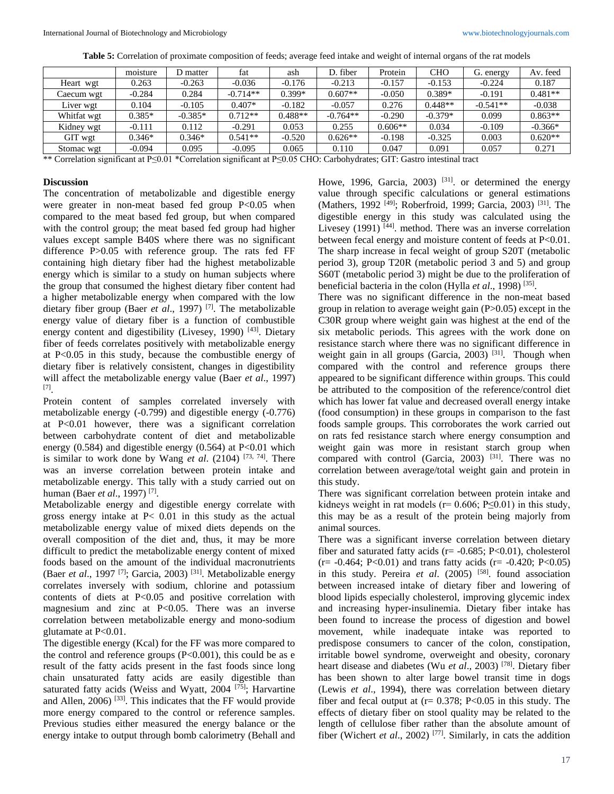| <b>Table 5:</b> Correlation of proximate composition of feeds; average feed intake and weight of internal organs of the rat models |  |  |  |  |  |
|------------------------------------------------------------------------------------------------------------------------------------|--|--|--|--|--|
|------------------------------------------------------------------------------------------------------------------------------------|--|--|--|--|--|

|             | moisture | D matter  | fat        | ash       | D. fiber   | Protein   | <b>CHO</b> | G. energy  | Av. feed  |
|-------------|----------|-----------|------------|-----------|------------|-----------|------------|------------|-----------|
| Heart wgt   | 0.263    | $-0.263$  | $-0.036$   | $-0.176$  | $-0.213$   | $-0.157$  | $-0.153$   | $-0.224$   | 0.187     |
| Caecum wgt  | $-0.284$ | 0.284     | $-0.714**$ | $0.399*$  | $0.607**$  | $-0.050$  | $0.389*$   | $-0.191$   | $0.481**$ |
| Liver wgt   | 0.104    | $-0.105$  | $0.407*$   | $-0.182$  | $-0.057$   | 0.276     | $0.448**$  | $-0.541**$ | $-0.038$  |
| Whitfat wgt | $0.385*$ | $-0.385*$ | $0.712**$  | $0.488**$ | $-0.764**$ | $-0.290$  | $-0.379*$  | 0.099      | $0.863**$ |
| Kidney wgt  | $-0.111$ | 0.112     | $-0.291$   | 0.053     | 0.255      | $0.606**$ | 0.034      | $-0.109$   | $-0.366*$ |
| GIT wgt     | $0.346*$ | $0.346*$  | $0.541**$  | $-0.520$  | $0.626**$  | $-0.198$  | $-0.325$   | 0.003      | $0.620**$ |
| Stomac wgt  | $-0.094$ | 0.095     | $-0.095$   | 0.065     | 0.110      | 0.047     | 0.091      | 0.057      | 0.271     |

\*\* Correlation significant at P≤0.01 \*Correlation significant at P≤0.05 CHO: Carbohydrates; GIT: Gastro intestinal tract

#### **Discussion**

The concentration of metabolizable and digestible energy were greater in non-meat based fed group  $P<0.05$  when compared to the meat based fed group, but when compared with the control group; the meat based fed group had higher values except sample B40S where there was no significant difference P>0.05 with reference group. The rats fed FF containing high dietary fiber had the highest metabolizable energy which is similar to a study on human subjects where the group that consumed the highest dietary fiber content had a higher metabolizable energy when compared with the low dietary fiber group (Baer *et al*., 1997) [7] . The metabolizable energy value of dietary fiber is a function of combustible energy content and digestibility (Livesey, 1990)<sup>[43]</sup>. Dietary fiber of feeds correlates positively with metabolizable energy at P<0.05 in this study, because the combustible energy of dietary fiber is relatively consistent, changes in digestibility will affect the metabolizable energy value (Baer *et al*., 1997) [7] .

Protein content of samples correlated inversely with metabolizable energy (-0.799) and digestible energy (-0.776) at P<0.01 however, there was a significant correlation between carbohydrate content of diet and metabolizable energy  $(0.584)$  and digestible energy  $(0.564)$  at P<0.01 which is similar to work done by Wang *et al.* (2104)<sup>[73, 74]</sup>. There was an inverse correlation between protein intake and metabolizable energy. This tally with a study carried out on human (Baer *et al*., 1997) [7] .

Metabolizable energy and digestible energy correlate with gross energy intake at P< 0.01 in this study as the actual metabolizable energy value of mixed diets depends on the overall composition of the diet and, thus, it may be more difficult to predict the metabolizable energy content of mixed foods based on the amount of the individual macronutrients (Baer *et al.*, 1997<sup>[7]</sup>; Garcia, 2003)<sup>[31]</sup>. Metabolizable energy correlates inversely with sodium, chlorine and potassium contents of diets at P<0.05 and positive correlation with magnesium and zinc at P<0.05. There was an inverse correlation between metabolizable energy and mono-sodium glutamate at P<0.01.

The digestible energy (Kcal) for the FF was more compared to the control and reference groups  $(P<0.001)$ , this could be as e result of the fatty acids present in the fast foods since long chain unsaturated fatty acids are easily digestible than saturated fatty acids (Weiss and Wyatt, 2004<sup>[75]</sup>; Harvartine and Allen, 2006)<sup>[33]</sup>. This indicates that the FF would provide more energy compared to the control or reference samples. Previous studies either measured the energy balance or the energy intake to output through bomb calorimetry (Behall and

Howe, 1996, Garcia, 2003)<sup>[31]</sup>. or determined the energy value through specific calculations or general estimations (Mathers, 1992<sup>[49]</sup>; Roberfroid, 1999; Garcia, 2003)<sup>[31]</sup>. The digestible energy in this study was calculated using the Livesey  $(1991)$ <sup>[44]</sup>. method. There was an inverse correlation between fecal energy and moisture content of feeds at P<0.01. The sharp increase in fecal weight of group S20T (metabolic period 3), group T20R (metabolic period 3 and 5) and group S60T (metabolic period 3) might be due to the proliferation of beneficial bacteria in the colon (Hylla *et al.*, 1998)<sup>[35]</sup>.

There was no significant difference in the non-meat based group in relation to average weight gain (P>0.05) except in the C30R group where weight gain was highest at the end of the six metabolic periods. This agrees with the work done on resistance starch where there was no significant difference in weight gain in all groups (Garcia, 2003)<sup>[31]</sup>. Though when compared with the control and reference groups there appeared to be significant difference within groups. This could be attributed to the composition of the reference/control diet which has lower fat value and decreased overall energy intake (food consumption) in these groups in comparison to the fast foods sample groups. This corroborates the work carried out on rats fed resistance starch where energy consumption and weight gain was more in resistant starch group when compared with control (Garcia, 2003)<sup>[31]</sup>. There was no correlation between average/total weight gain and protein in this study.

There was significant correlation between protein intake and kidneys weight in rat models ( $r= 0.606$ ; P $\leq 0.01$ ) in this study, this may be as a result of the protein being majorly from animal sources.

There was a significant inverse correlation between dietary fiber and saturated fatty acids ( $r = -0.685$ ; P<0.01), cholesterol  $(r= -0.464; P<0.01)$  and trans fatty acids  $(r= -0.420; P<0.05)$ in this study. Pereira *et al*. (2005) [58] . found association between increased intake of dietary fiber and lowering of blood lipids especially cholesterol, improving glycemic index and increasing hyper-insulinemia. Dietary fiber intake has been found to increase the process of digestion and bowel movement, while inadequate intake was reported to predispose consumers to cancer of the colon, constipation, irritable bowel syndrome, overweight and obesity, coronary heart disease and diabetes (Wu *et al*., 2003) [78] . Dietary fiber has been shown to alter large bowel transit time in dogs (Lewis *et al*., 1994), there was correlation between dietary fiber and fecal output at  $(r= 0.378; P<0.05$  in this study. The effects of dietary fiber on stool quality may be related to the length of cellulose fiber rather than the absolute amount of fiber (Wichert *et al*., 2002) [77] . Similarly, in cats the addition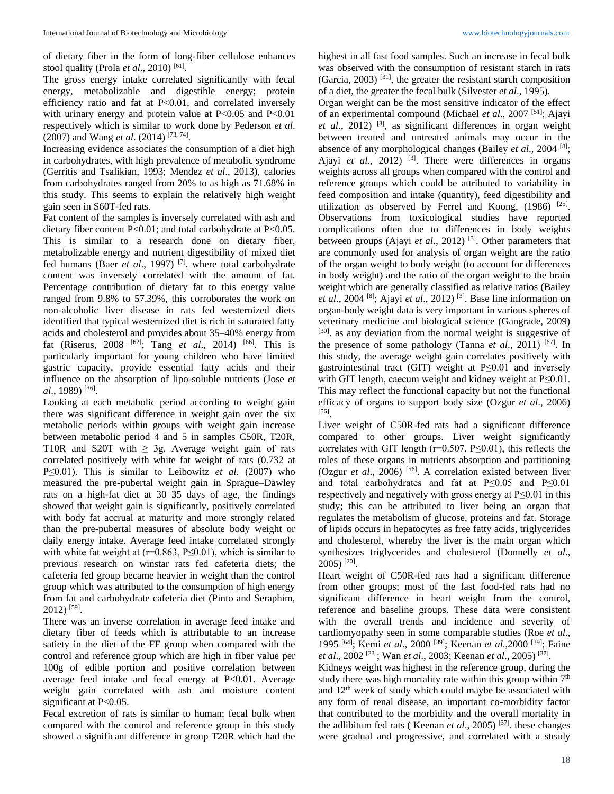of dietary fiber in the form of long-fiber cellulose enhances stool quality (Prola *et al.*, 2010)<sup>[61]</sup>.

The gross energy intake correlated significantly with fecal energy, metabolizable and digestible energy; protein efficiency ratio and fat at P<0.01, and correlated inversely with urinary energy and protein value at  $P<0.05$  and  $P<0.01$ respectively which is similar to work done by Pederson *et al*. (2007) and Wang *et al*. (2014) [73, 74] .

Increasing evidence associates the consumption of a diet high in carbohydrates, with high prevalence of metabolic syndrome (Gerritis and Tsalikian, 1993; Mendez *et al*., 2013), calories from carbohydrates ranged from 20% to as high as 71.68% in this study. This seems to explain the relatively high weight gain seen in S60T-fed rats.

Fat content of the samples is inversely correlated with ash and dietary fiber content P<0.01; and total carbohydrate at P<0.05. This is similar to a research done on dietary fiber, metabolizable energy and nutrient digestibility of mixed diet fed humans (Baer *et al*., 1997) [7] . where total carbohydrate content was inversely correlated with the amount of fat. Percentage contribution of dietary fat to this energy value ranged from 9.8% to 57.39%, this corroborates the work on non-alcoholic liver disease in rats fed westernized diets identified that typical westernized diet is rich in saturated fatty acids and cholesterol and provides about 35–40% energy from fat (Riserus, 2008 [62] ; Tang *et al*., 2014) [66] . This is particularly important for young children who have limited gastric capacity, provide essential fatty acids and their influence on the absorption of lipo-soluble nutrients (Jose *et al*., 1989) [36] .

Looking at each metabolic period according to weight gain there was significant difference in weight gain over the six metabolic periods within groups with weight gain increase between metabolic period 4 and 5 in samples C50R, T20R, T10R and S20T with  $\geq$  3g. Average weight gain of rats correlated positively with white fat weight of rats (0.732 at P≤0.01). This is similar to Leibowitz *et al*. (2007) who measured the pre-pubertal weight gain in Sprague–Dawley rats on a high-fat diet at 30–35 days of age, the findings showed that weight gain is significantly, positively correlated with body fat accrual at maturity and more strongly related than the pre-pubertal measures of absolute body weight or daily energy intake. Average feed intake correlated strongly with white fat weight at ( $r=0.863$ ,  $P\leq 0.01$ ), which is similar to previous research on winstar rats fed cafeteria diets; the cafeteria fed group became heavier in weight than the control group which was attributed to the consumption of high energy from fat and carbohydrate cafeteria diet (Pinto and Seraphim, 2012) [59] .

There was an inverse correlation in average feed intake and dietary fiber of feeds which is attributable to an increase satiety in the diet of the FF group when compared with the control and reference group which are high in fiber value per 100g of edible portion and positive correlation between average feed intake and fecal energy at P<0.01. Average weight gain correlated with ash and moisture content significant at P<0.05.

Fecal excretion of rats is similar to human; fecal bulk when compared with the control and reference group in this study showed a significant difference in group T20R which had the highest in all fast food samples. Such an increase in fecal bulk was observed with the consumption of resistant starch in rats (Garcia, 2003) [31] , the greater the resistant starch composition of a diet, the greater the fecal bulk (Silvester *et al*., 1995).

Organ weight can be the most sensitive indicator of the effect of an experimental compound (Michael *et al*., 2007 [51] ; Ajayi et al., 2012)<sup>[3]</sup>, as significant differences in organ weight between treated and untreated animals may occur in the absence of any morphological changes (Bailey *et al*., 2004 [8] ; Ajayi *et al.*, 2012)<sup>[3]</sup>. There were differences in organs weights across all groups when compared with the control and reference groups which could be attributed to variability in feed composition and intake (quantity), feed digestibility and utilization as observed by Ferrel and Koong,  $(1986)$ <sup>[25]</sup>. Observations from toxicological studies have reported complications often due to differences in body weights between groups (Ajayi *et al.*, 2012)<sup>[3]</sup>. Other parameters that are commonly used for analysis of organ weight are the ratio of the organ weight to body weight (to account for differences in body weight) and the ratio of the organ weight to the brain weight which are generally classified as relative ratios (Bailey *et al*., 2004 [8] ; Ajayi *et al*., 2012) [3] . Base line information on organ-body weight data is very important in various spheres of veterinary medicine and biological science (Gangrade, 2009) [30]. as any deviation from the normal weight is suggestive of the presence of some pathology (Tanna *et al.*, 2011)<sup>[67]</sup>. In this study, the average weight gain correlates positively with gastrointestinal tract (GIT) weight at P≤0.01 and inversely with GIT length, caecum weight and kidney weight at P≤0.01. This may reflect the functional capacity but not the functional efficacy of organs to support body size (Ozgur *et al*., 2006) [56] .

Liver weight of C50R-fed rats had a significant difference compared to other groups. Liver weight significantly correlates with GIT length ( $r=0.507$ ,  $P\leq 0.01$ ), this reflects the roles of these organs in nutrients absorption and partitioning (Ozgur *et al*., 2006) [56] . A correlation existed between liver and total carbohydrates and fat at P≤0.05 and P≤0.01 respectively and negatively with gross energy at  $P \le 0.01$  in this study; this can be attributed to liver being an organ that regulates the metabolism of glucose, proteins and fat. Storage of lipids occurs in hepatocytes as free fatty acids, triglycerides and cholesterol, whereby the liver is the main organ which synthesizes triglycerides and cholesterol (Donnelly *et al*., 2005) [20] .

Heart weight of C50R-fed rats had a significant difference from other groups; most of the fast food-fed rats had no significant difference in heart weight from the control, reference and baseline groups. These data were consistent with the overall trends and incidence and severity of cardiomyopathy seen in some comparable studies (Roe *et al*., 1995 [64] ; Kemi *et al*., 2000 [39] ; Keenan *et al*.,2000 [39] ; Faine *et al.*, 2002<sup>[23]</sup>; Wan *et al.*, 2003; Keenan *et al.*, 2005)<sup>[37]</sup>.

Kidneys weight was highest in the reference group, during the study there was high mortality rate within this group within  $7<sup>th</sup>$ and  $12<sup>th</sup>$  week of study which could maybe be associated with any form of renal disease, an important co-morbidity factor that contributed to the morbidity and the overall mortality in the adlibitum fed rats ( Keenan *et al*., 2005) [37] . these changes were gradual and progressive, and correlated with a steady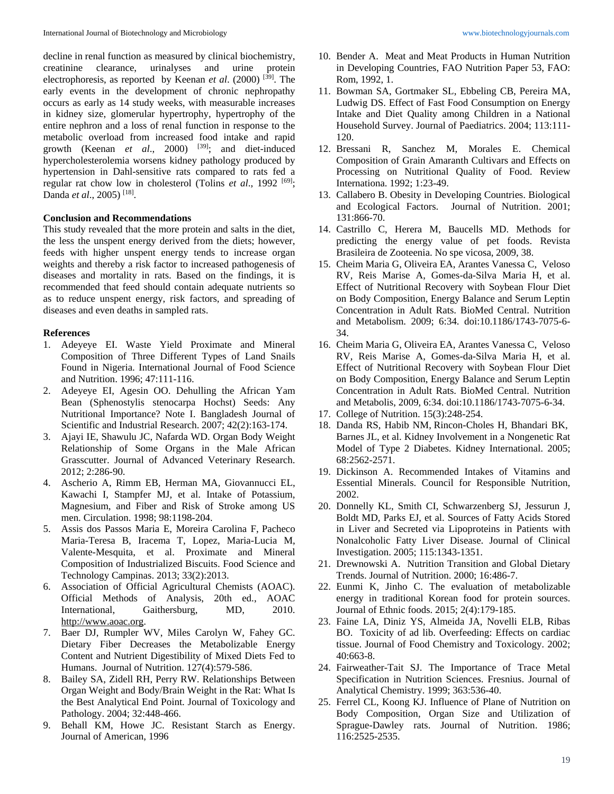decline in renal function as measured by clinical biochemistry, creatinine clearance, urinalyses and urine protein electrophoresis, as reported by Keenan *et al.* (2000)<sup>[39]</sup>. The early events in the development of chronic nephropathy occurs as early as 14 study weeks, with measurable increases in kidney size, glomerular hypertrophy, hypertrophy of the entire nephron and a loss of renal function in response to the metabolic overload from increased food intake and rapid growth (Keenan *et al.*, 2000) <sup>[39]</sup>; and diet-induced hypercholesterolemia worsens kidney pathology produced by hypertension in Dahl-sensitive rats compared to rats fed a regular rat chow low in cholesterol (Tolins *et al.*, 1992<sup>[69]</sup>; Danda et al., 2005)<sup>[18]</sup>.

## **Conclusion and Recommendations**

This study revealed that the more protein and salts in the diet, the less the unspent energy derived from the diets; however, feeds with higher unspent energy tends to increase organ weights and thereby a risk factor to increased pathogenesis of diseases and mortality in rats. Based on the findings, it is recommended that feed should contain adequate nutrients so as to reduce unspent energy, risk factors, and spreading of diseases and even deaths in sampled rats.

## **References**

- 1. Adeyeye EI. Waste Yield Proximate and Mineral Composition of Three Different Types of Land Snails Found in Nigeria. International Journal of Food Science and Nutrition. 1996; 47:111-116.
- 2. Adeyeye EI, Agesin OO. Dehulling the African Yam Bean (Sphenostylis stenocarpa Hochst) Seeds: Any Nutritional Importance? Note I. Bangladesh Journal of Scientific and Industrial Research. 2007; 42(2):163-174.
- 3. Ajayi IE, Shawulu JC, Nafarda WD. Organ Body Weight Relationship of Some Organs in the Male African Grasscutter. Journal of Advanced Veterinary Research. 2012; 2:286-90.
- 4. Ascherio A, Rimm EB, Herman MA, Giovannucci EL, Kawachi I, Stampfer MJ, et al. Intake of Potassium, Magnesium, and Fiber and Risk of Stroke among US men. Circulation. 1998; 98:1198-204.
- 5. Assis dos Passos Maria E, Moreira Carolina F, Pacheco Maria-Teresa B, Iracema T, Lopez, Maria-Lucia M, Valente-Mesquita, et al. Proximate and Mineral Composition of Industrialized Biscuits. Food Science and Technology Campinas. 2013; 33(2):2013.
- 6. Association of Official Agricultural Chemists (AOAC). Official Methods of Analysis, 20th ed., AOAC International, Gaithersburg, MD, 2010. http://www.aoac.org.
- 7. Baer DJ, Rumpler WV, Miles Carolyn W, Fahey GC. Dietary Fiber Decreases the Metabolizable Energy Content and Nutrient Digestibility of Mixed Diets Fed to Humans. Journal of Nutrition. 127(4):579-586.
- 8. Bailey SA, Zidell RH, Perry RW. Relationships Between Organ Weight and Body/Brain Weight in the Rat: What Is the Best Analytical End Point. Journal of Toxicology and Pathology. 2004; 32:448-466.
- 9. Behall KM, Howe JC. Resistant Starch as Energy. Journal of American, 1996
- 10. Bender A. Meat and Meat Products in Human Nutrition in Developing Countries, FAO Nutrition Paper 53, FAO: Rom, 1992, 1.
- 11. Bowman SA, Gortmaker SL, Ebbeling CB, Pereira MA, Ludwig DS. Effect of Fast Food Consumption on Energy Intake and Diet Quality among Children in a National Household Survey. Journal of Paediatrics. 2004; 113:111- 120.
- 12. Bressani R, Sanchez M, Morales E. Chemical Composition of Grain Amaranth Cultivars and Effects on Processing on Nutritional Quality of Food. Review Internationa. 1992; 1:23-49.
- 13. Callabero B. Obesity in Developing Countries. Biological and Ecological Factors. Journal of Nutrition. 2001; 131:866-70.
- 14. Castrillo C, Herera M, Baucells MD. Methods for predicting the energy value of pet foods. Revista Brasileira de Zooteenia. No spe vicosa, 2009, 38.
- 15. Cheim Maria G, Oliveira EA, Arantes Vanessa C, Veloso RV, Reis Marise A, Gomes-da-Silva Maria H, et al. Effect of Nutritional Recovery with Soybean Flour Diet on Body Composition, Energy Balance and Serum Leptin Concentration in Adult Rats. BioMed Central. Nutrition and Metabolism. 2009; 6:34. doi:10.1186/1743-7075-6- 34.
- 16. Cheim Maria G, Oliveira EA, Arantes Vanessa C, Veloso RV, Reis Marise A, Gomes-da-Silva Maria H, et al. Effect of Nutritional Recovery with Soybean Flour Diet on Body Composition, Energy Balance and Serum Leptin Concentration in Adult Rats. BioMed Central. Nutrition and Metabolis, 2009, 6:34. doi:10.1186/1743-7075-6-34.
- 17. College of Nutrition. 15(3):248-254.
- 18. Danda RS, Habib NM, Rincon-Choles H, Bhandari BK, Barnes JL, et al. Kidney Involvement in a Nongenetic Rat Model of Type 2 Diabetes. Kidney International. 2005; 68:2562-2571.
- 19. Dickinson A. Recommended Intakes of Vitamins and Essential Minerals. Council for Responsible Nutrition, 2002.
- 20. Donnelly KL, Smith CI, Schwarzenberg SJ, Jessurun J, Boldt MD, Parks EJ, et al. Sources of Fatty Acids Stored in Liver and Secreted via Lipoproteins in Patients with Nonalcoholic Fatty Liver Disease. Journal of Clinical Investigation. 2005; 115:1343-1351.
- 21. Drewnowski A. Nutrition Transition and Global Dietary Trends. Journal of Nutrition. 2000; 16:486-7.
- 22. Eunmi K, Jinho C. The evaluation of metabolizable energy in traditional Korean food for protein sources. Journal of Ethnic foods. 2015; 2(4):179-185.
- 23. Faine LA, Diniz YS, Almeida JA, Novelli ELB, Ribas BO. Toxicity of ad lib. Overfeeding: Effects on cardiac tissue. Journal of Food Chemistry and Toxicology. 2002; 40:663-8.
- 24. Fairweather-Tait SJ. The Importance of Trace Metal Specification in Nutrition Sciences. Fresnius. Journal of Analytical Chemistry. 1999; 363:536-40.
- 25. Ferrel CL, Koong KJ. Influence of Plane of Nutrition on Body Composition, Organ Size and Utilization of Sprague-Dawley rats. Journal of Nutrition. 1986; 116:2525-2535.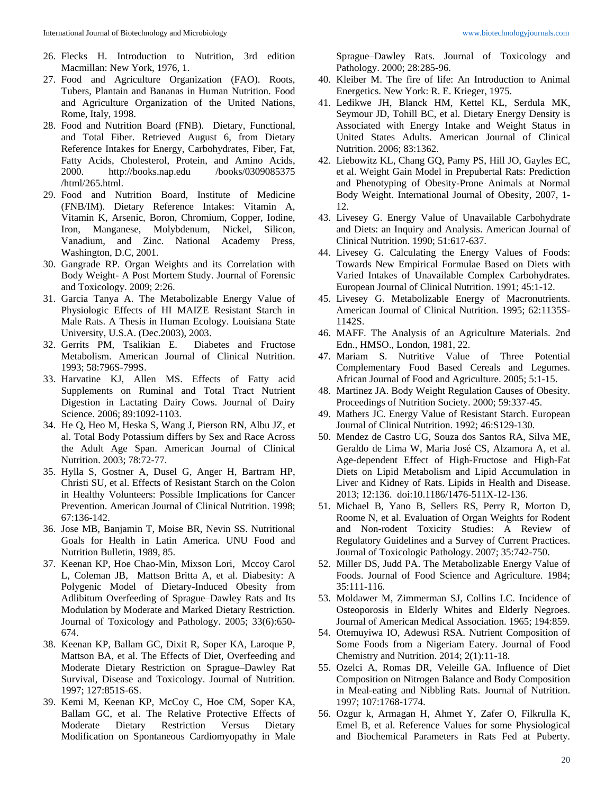- 26. Flecks H. Introduction to Nutrition, 3rd edition Macmillan: New York, 1976, 1.
- 27. Food and Agriculture Organization (FAO). Roots, Tubers, Plantain and Bananas in Human Nutrition. Food and Agriculture Organization of the United Nations, Rome, Italy, 1998.
- 28. Food and Nutrition Board (FNB). Dietary, Functional, and Total Fiber. Retrieved August 6, from Dietary Reference Intakes for Energy, Carbohydrates, Fiber, Fat, Fatty Acids, Cholesterol, Protein, and Amino Acids, 2000. http://books.nap.edu /books/0309085375 /html/265.html.
- 29. Food and Nutrition Board, Institute of Medicine (FNB/IM). Dietary Reference Intakes: Vitamin A, Vitamin K, Arsenic, Boron, Chromium, Copper, Iodine, Iron, Manganese, Molybdenum, Nickel, Silicon, Vanadium, and Zinc. National Academy Press, Washington, D.C, 2001.
- 30. Gangrade RP. Organ Weights and its Correlation with Body Weight- A Post Mortem Study. Journal of Forensic and Toxicology. 2009; 2:26.
- 31. Garcia Tanya A. The Metabolizable Energy Value of Physiologic Effects of HI MAIZE Resistant Starch in Male Rats. A Thesis in Human Ecology. Louisiana State University, U.S.A. (Dec.2003), 2003.
- 32. Gerrits PM, Tsalikian E. Diabetes and Fructose Metabolism. American Journal of Clinical Nutrition. 1993; 58:796S-799S.
- 33. Harvatine KJ, Allen MS. Effects of Fatty acid Supplements on Ruminal and Total Tract Nutrient Digestion in Lactating Dairy Cows. Journal of Dairy Science. 2006; 89:1092-1103.
- 34. He Q, Heo M, Heska S, Wang J, Pierson RN, Albu JZ, et al. Total Body Potassium differs by Sex and Race Across the Adult Age Span. American Journal of Clinical Nutrition. 2003; 78:72-77.
- 35. Hylla S, Gostner A, Dusel G, Anger H, Bartram HP, Christi SU, et al. Effects of Resistant Starch on the Colon in Healthy Volunteers: Possible Implications for Cancer Prevention. American Journal of Clinical Nutrition. 1998; 67:136-142.
- 36. Jose MB, Banjamin T, Moise BR, Nevin SS. Nutritional Goals for Health in Latin America. UNU Food and Nutrition Bulletin, 1989, 85.
- 37. Keenan KP, Hoe Chao-Min, Mixson Lori, Mccoy Carol L, Coleman JB, Mattson Britta A, et al. Diabesity: A Polygenic Model of Dietary-Induced Obesity from Adlibitum Overfeeding of Sprague–Dawley Rats and Its Modulation by Moderate and Marked Dietary Restriction. Journal of Toxicology and Pathology. 2005; 33(6):650- 674.
- 38. Keenan KP, Ballam GC, Dixit R, Soper KA, Laroque P, Mattson BA, et al. The Effects of Diet, Overfeeding and Moderate Dietary Restriction on Sprague–Dawley Rat Survival, Disease and Toxicology. Journal of Nutrition. 1997; 127:851S-6S.
- 39. Kemi M, Keenan KP, McCoy C, Hoe CM, Soper KA, Ballam GC, et al. The Relative Protective Effects of Moderate Dietary Restriction Versus Dietary Modification on Spontaneous Cardiomyopathy in Male

Sprague–Dawley Rats. Journal of Toxicology and Pathology. 2000; 28:285-96.

- 40. Kleiber M. The fire of life: An Introduction to Animal Energetics. New York: R. E. Krieger, 1975.
- 41. Ledikwe JH, Blanck HM, Kettel KL, Serdula MK, Seymour JD, Tohill BC, et al. Dietary Energy Density is Associated with Energy Intake and Weight Status in United States Adults. American Journal of Clinical Nutrition. 2006; 83:1362.
- 42. Liebowitz KL, Chang GQ, Pamy PS, Hill JO, Gayles EC, et al. Weight Gain Model in Prepubertal Rats: Prediction and Phenotyping of Obesity-Prone Animals at Normal Body Weight. International Journal of Obesity, 2007, 1- 12.
- 43. Livesey G. Energy Value of Unavailable Carbohydrate and Diets: an Inquiry and Analysis. American Journal of Clinical Nutrition. 1990; 51:617-637.
- 44. Livesey G. Calculating the Energy Values of Foods: Towards New Empirical Formulae Based on Diets with Varied Intakes of Unavailable Complex Carbohydrates. European Journal of Clinical Nutrition. 1991; 45:1-12.
- 45. Livesey G. Metabolizable Energy of Macronutrients. American Journal of Clinical Nutrition. 1995; 62:1135S-1142S.
- 46. MAFF. The Analysis of an Agriculture Materials. 2nd Edn., HMSO., London, 1981, 22.
- 47. Mariam S. Nutritive Value of Three Potential Complementary Food Based Cereals and Legumes. African Journal of Food and Agriculture. 2005; 5:1-15.
- 48. Martinez JA. Body Weight Regulation Causes of Obesity. Proceedings of Nutrition Society. 2000; 59:337-45.
- 49. Mathers JC. Energy Value of Resistant Starch. European Journal of Clinical Nutrition. 1992; 46:S129-130.
- 50. Mendez de Castro UG, Souza dos Santos RA, Silva ME, Geraldo de Lima W, Maria José CS, Alzamora A, et al. Age-dependent Effect of High-Fructose and High-Fat Diets on Lipid Metabolism and Lipid Accumulation in Liver and Kidney of Rats. Lipids in Health and Disease. 2013; 12:136. doi:10.1186/1476-511X-12-136.
- 51. Michael B, Yano B, Sellers RS, Perry R, Morton D, Roome N, et al. Evaluation of Organ Weights for Rodent and Non-rodent Toxicity Studies: A Review of Regulatory Guidelines and a Survey of Current Practices. Journal of Toxicologic Pathology. 2007; 35:742-750.
- 52. Miller DS, Judd PA. The Metabolizable Energy Value of Foods. Journal of Food Science and Agriculture. 1984; 35:111-116.
- 53. Moldawer M, Zimmerman SJ, Collins LC. Incidence of Osteoporosis in Elderly Whites and Elderly Negroes. Journal of American Medical Association. 1965; 194:859.
- 54. Otemuyiwa IO, Adewusi RSA. Nutrient Composition of Some Foods from a Nigeriam Eatery. Journal of Food Chemistry and Nutrition. 2014; 2(1):11-18.
- 55. Ozelci A, Romas DR, Veleille GA. Influence of Diet Composition on Nitrogen Balance and Body Composition in Meal-eating and Nibbling Rats. Journal of Nutrition. 1997; 107:1768-1774.
- 56. Ozgur k, Armagan H, Ahmet Y, Zafer O, Filkrulla K, Emel B, et al. Reference Values for some Physiological and Biochemical Parameters in Rats Fed at Puberty.